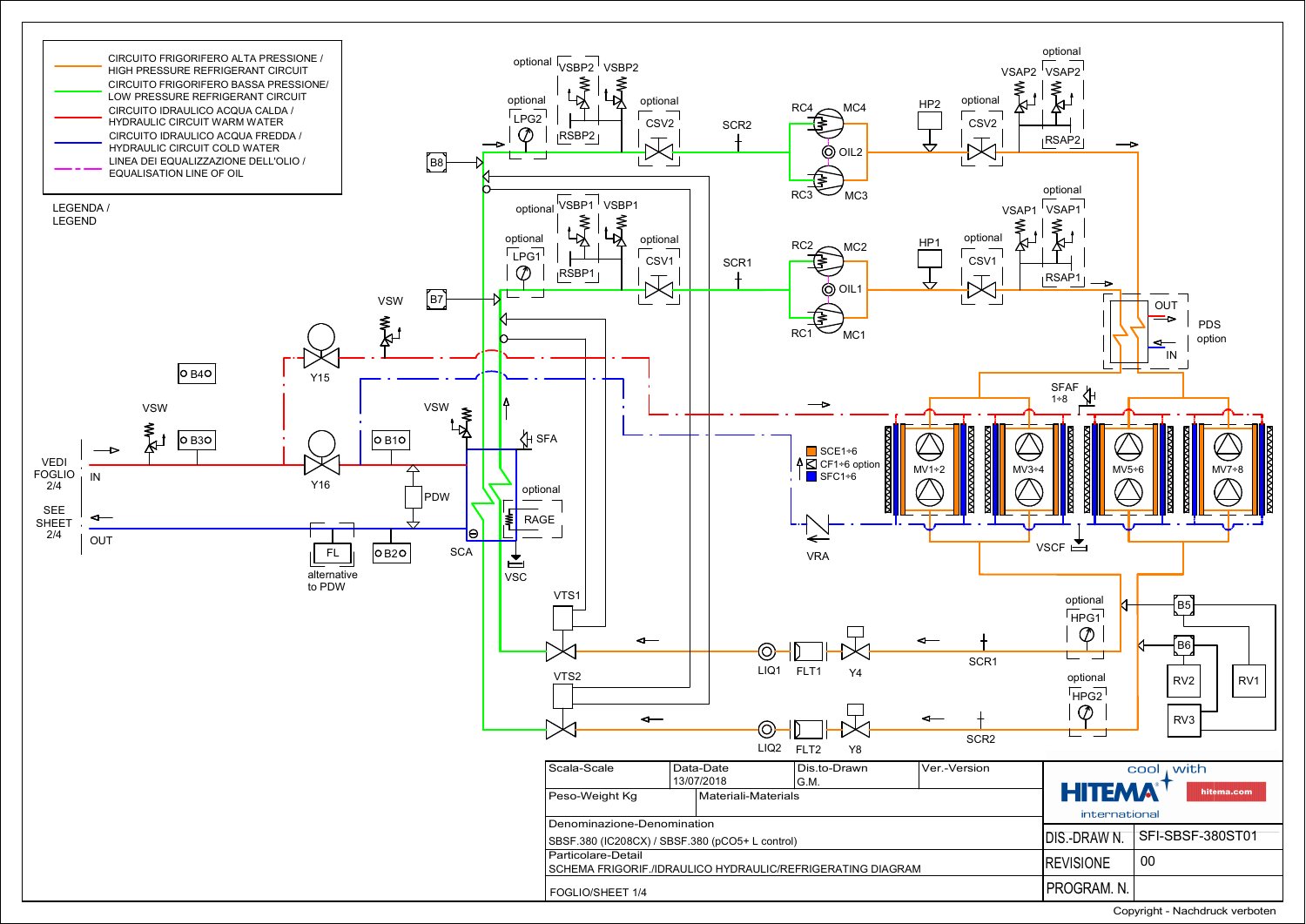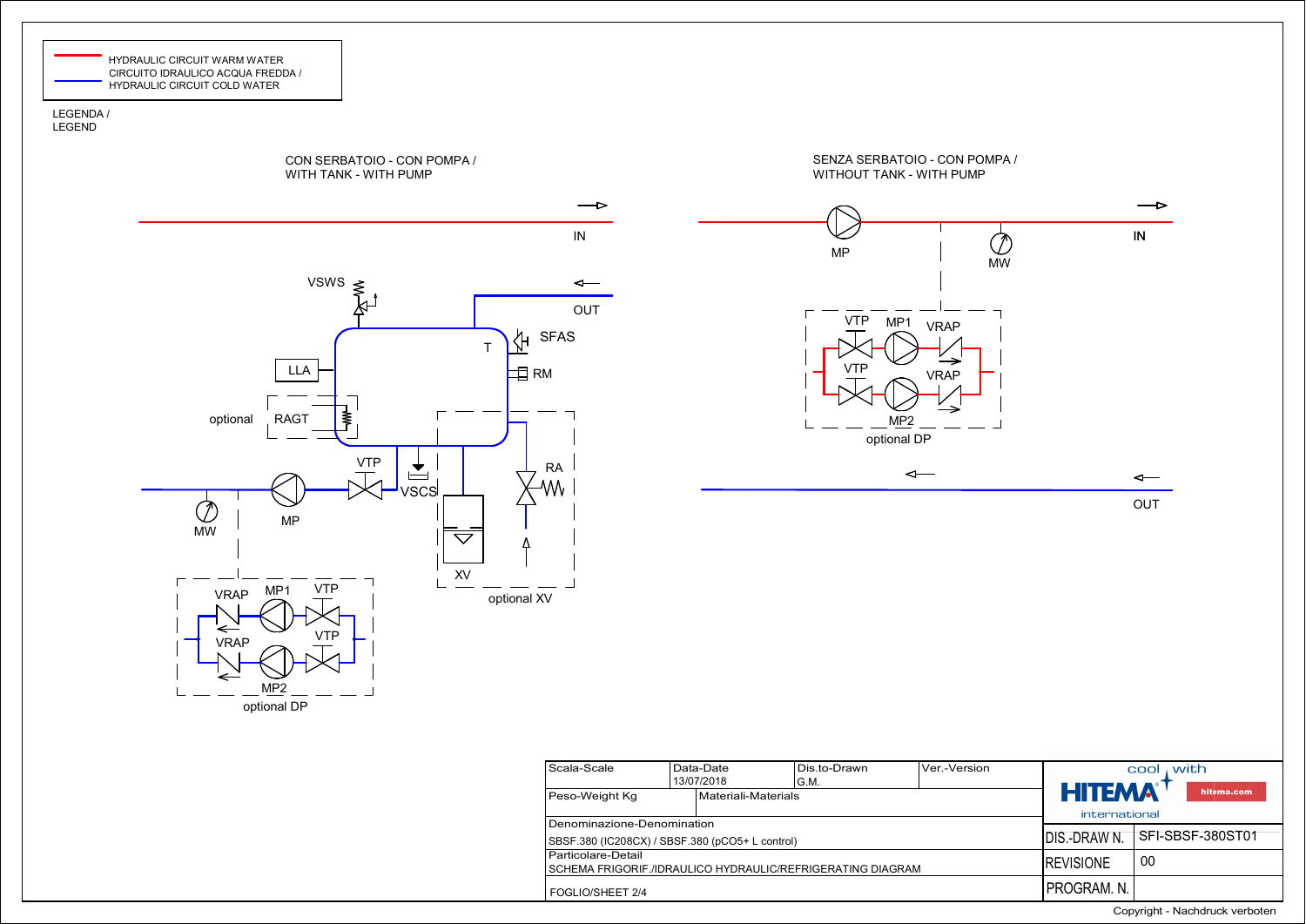

## LEGENDA / LEGEND



FOGLIO/SHEET 2/4

Copyright - Nachdruck verboten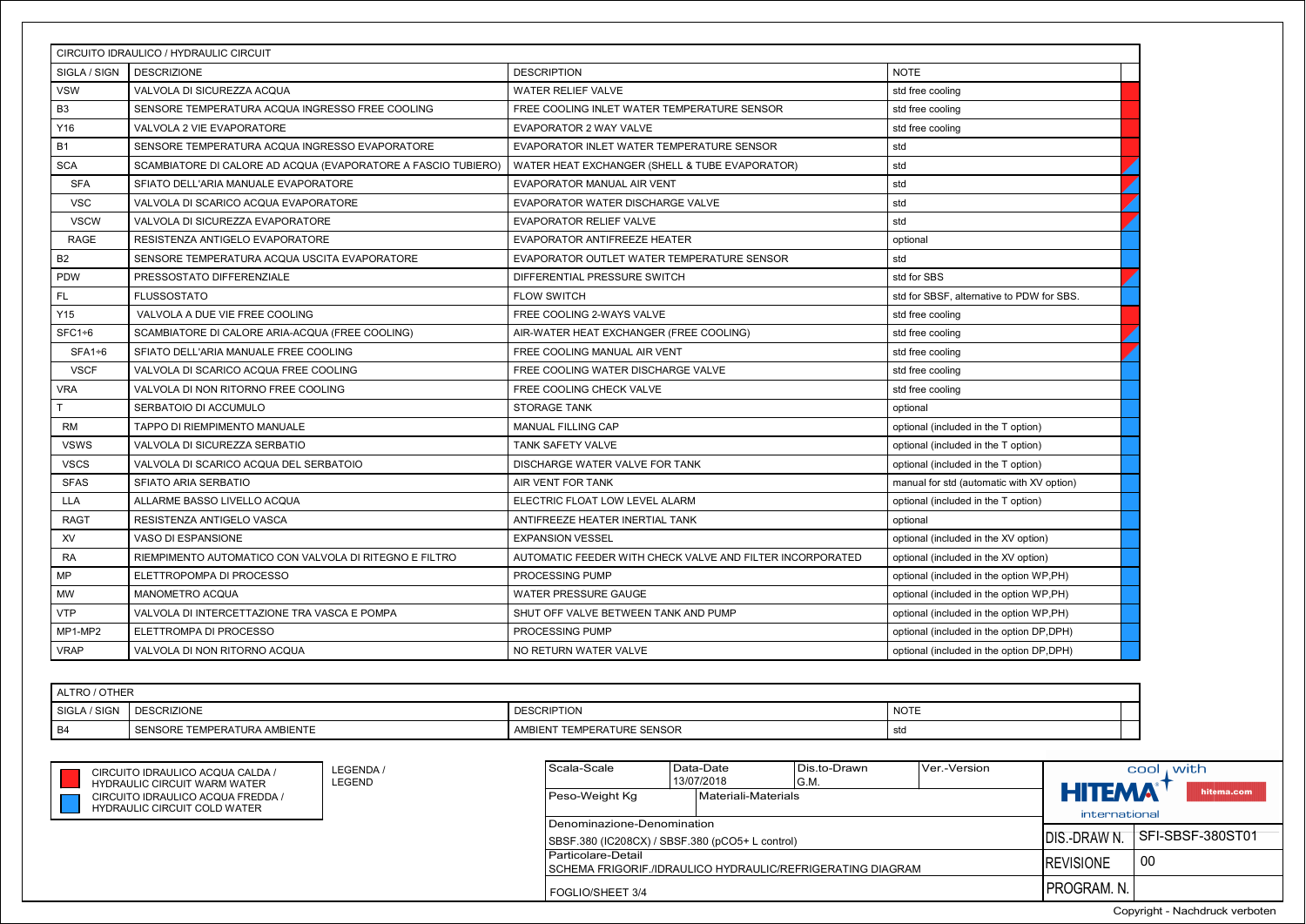|                | CIRCUITO IDRAULICO / HYDRAULIC CIRCUIT                                     |                                                            |                                           |                  |                |
|----------------|----------------------------------------------------------------------------|------------------------------------------------------------|-------------------------------------------|------------------|----------------|
| SIGLA / SIGN   | <b>DESCRIZIONE</b>                                                         | <b>DESCRIPTION</b>                                         | <b>NOTE</b>                               |                  |                |
| <b>VSW</b>     | VALVOLA DI SICUREZZA ACQUA                                                 | WATER RELIEF VALVE                                         | std free cooling                          |                  |                |
| B <sub>3</sub> | SENSORE TEMPERATURA ACQUA INGRESSO FREE COOLING                            | FREE COOLING INLET WATER TEMPERATURE SENSOR                | std free cooling                          |                  |                |
| Y16            | VALVOLA 2 VIE EVAPORATORE                                                  | EVAPORATOR 2 WAY VALVE                                     | std free cooling                          |                  |                |
| <b>B1</b>      | SENSORE TEMPERATURA ACQUA INGRESSO EVAPORATORE                             | EVAPORATOR INLET WATER TEMPERATURE SENSOR                  | std                                       |                  |                |
| <b>SCA</b>     | SCAMBIATORE DI CALORE AD ACQUA (EVAPORATORE A FASCIO TUBIERO)              | WATER HEAT EXCHANGER (SHELL & TUBE EVAPORATOR)             | std                                       |                  |                |
| SFA            | SFIATO DELL'ARIA MANUALE EVAPORATORE                                       | EVAPORATOR MANUAL AIR VENT                                 | std                                       |                  |                |
| <b>VSC</b>     | VALVOLA DI SCARICO ACQUA EVAPORATORE                                       | EVAPORATOR WATER DISCHARGE VALVE                           | std                                       |                  |                |
| <b>VSCW</b>    | VALVOLA DI SICUREZZA EVAPORATORE                                           | EVAPORATOR RELIEF VALVE                                    | std                                       |                  |                |
| <b>RAGE</b>    | RESISTENZA ANTIGELO EVAPORATORE                                            | EVAPORATOR ANTIFREEZE HEATER                               | optional                                  |                  |                |
| B <sub>2</sub> | SENSORE TEMPERATURA ACQUA USCITA EVAPORATORE                               | EVAPORATOR OUTLET WATER TEMPERATURE SENSOR                 | std                                       |                  |                |
| <b>PDW</b>     | PRESSOSTATO DIFFERENZIALE                                                  | DIFFERENTIAL PRESSURE SWITCH                               | std for SBS                               |                  |                |
| FL.            | <b>FLUSSOSTATO</b>                                                         | <b>FLOW SWITCH</b>                                         | std for SBSF, alternative to PDW for SBS. |                  |                |
| Y15            | VALVOLA A DUE VIE FREE COOLING                                             | FREE COOLING 2-WAYS VALVE                                  | std free cooling                          |                  |                |
| $SFC1+6$       | SCAMBIATORE DI CALORE ARIA-ACQUA (FREE COOLING)                            | AIR-WATER HEAT EXCHANGER (FREE COOLING)                    | std free cooling                          |                  |                |
| $SFA1+6$       | SFIATO DELL'ARIA MANUALE FREE COOLING                                      | FREE COOLING MANUAL AIR VENT                               | std free cooling                          |                  |                |
| <b>VSCF</b>    | VALVOLA DI SCARICO ACQUA FREE COOLING                                      | FREE COOLING WATER DISCHARGE VALVE                         | std free cooling                          |                  |                |
| <b>VRA</b>     | VALVOLA DI NON RITORNO FREE COOLING                                        | FREE COOLING CHECK VALVE                                   | std free cooling                          |                  |                |
| т              | SERBATOIO DI ACCUMULO                                                      | <b>STORAGE TANK</b>                                        | optional                                  |                  |                |
| <b>RM</b>      | TAPPO DI RIEMPIMENTO MANUALE                                               | MANUAL FILLING CAP                                         | optional (included in the T option)       |                  |                |
| <b>VSWS</b>    | VALVOLA DI SICUREZZA SERBATIO                                              | TANK SAFETY VALVE                                          | optional (included in the T option)       |                  |                |
| <b>VSCS</b>    | VALVOLA DI SCARICO ACQUA DEL SERBATOIO                                     | DISCHARGE WATER VALVE FOR TANK                             | optional (included in the T option)       |                  |                |
| <b>SFAS</b>    | SFIATO ARIA SERBATIO                                                       | AIR VENT FOR TANK                                          | manual for std (automatic with XV option) |                  |                |
| <b>LLA</b>     | ALLARME BASSO LIVELLO ACQUA                                                | ELECTRIC FLOAT LOW LEVEL ALARM                             | optional (included in the T option)       |                  |                |
| <b>RAGT</b>    | RESISTENZA ANTIGELO VASCA                                                  | ANTIFREEZE HEATER INERTIAL TANK                            | optional                                  |                  |                |
| XV             | VASO DI ESPANSIONE                                                         | <b>EXPANSION VESSEL</b>                                    | optional (included in the XV option)      |                  |                |
| <b>RA</b>      | RIEMPIMENTO AUTOMATICO CON VALVOLA DI RITEGNO E FILTRO                     | AUTOMATIC FEEDER WITH CHECK VALVE AND FILTER INCORPORATED  | optional (included in the XV option)      |                  |                |
| MP             | ELETTROPOMPA DI PROCESSO                                                   | PROCESSING PUMP                                            | optional (included in the option WP,PH)   |                  |                |
| MW             | <b>MANOMETRO ACQUA</b>                                                     | WATER PRESSURE GAUGE                                       | optional (included in the option WP,PH)   |                  |                |
| <b>VTP</b>     | VALVOLA DI INTERCETTAZIONE TRA VASCA E POMPA                               | SHUT OFF VALVE BETWEEN TANK AND PUMP                       | optional (included in the option WP,PH)   |                  |                |
| MP1-MP2        | ELETTROMPA DI PROCESSO                                                     | PROCESSING PUMP                                            | optional (included in the option DP,DPH)  |                  |                |
| <b>VRAP</b>    | VALVOLA DI NON RITORNO ACQUA                                               | NO RETURN WATER VALVE                                      | optional (included in the option DP,DPH)  |                  |                |
|                |                                                                            |                                                            |                                           |                  |                |
| ALTRO / OTHER  |                                                                            |                                                            |                                           |                  |                |
| SIGLA / SIGN   | <b>DESCRIZIONE</b>                                                         | <b>DESCRIPTION</b>                                         | <b>NOTE</b>                               |                  |                |
| <b>B4</b>      | SENSORE TEMPERATURA AMBIENTE                                               | AMBIENT TEMPERATURE SENSOR                                 | std                                       |                  |                |
|                |                                                                            |                                                            |                                           |                  |                |
|                | LEGENDA /                                                                  | Scala-Scale<br>Data-Date<br>Dis.to-Drawn                   | Ver.-Version                              |                  | , with<br>cool |
|                | CIRCUITO IDRAULICO ACQUA CALDA /<br>LEGEND<br>HYDRAULIC CIRCUIT WARM WATER | 13/07/2018<br>G.M.                                         |                                           |                  |                |
|                | CIRCUITO IDRAULICO ACQUA FREDDA /                                          | Materiali-Materials<br>Peso-Weight Kg                      |                                           | <b>HITEMA</b>    |                |
|                | <b>HYDRAULIC CIRCUIT COLD WATER</b>                                        | Denominazione-Denomination                                 |                                           | international    |                |
|                |                                                                            | SBSF.380 (IC208CX) / SBSF.380 (pCO5+ L control)            |                                           | DIS.-DRAW N.     | SFI-SBSF-3     |
|                |                                                                            | Particolare-Detail                                         |                                           |                  |                |
|                |                                                                            | SCHEMA FRIGORIF./IDRAULICO HYDRAULIC/REFRIGERATING DIAGRAM |                                           | <b>REVISIONE</b> | 00             |
|                |                                                                            | FOGLIO/SHEET 3/4                                           |                                           | PROGRAM. N.      |                |

| ALTRO / OTHER   |                              |                            |             |
|-----------------|------------------------------|----------------------------|-------------|
| SIGLA<br>/ SIGN | <b>DESCRIZIONE</b>           | <b>DESCRIPTION</b>         | <b>NOTE</b> |
| l B4            | SENSORE TEMPERATURA AMBIENTE | AMBIENT TEMPERATURE SENSOR | std         |

| CIRCUITO IDRAULICO ACQUA CALDA      |
|-------------------------------------|
| HYDRAULIC CIRCUIT WARM WATER        |
| CIRCUITO IDRAULICO ACQUA FREDI      |
| <b>HYDRAULIC CIRCUIT COLD WATER</b> |

| CIRCUITO IDRAULICO ACQUA CALDA /<br>HYDRAULIC CIRCUIT WARM WATER- | LEGENDA /<br>I LEGEND |
|-------------------------------------------------------------------|-----------------------|
| CIRCUITO IDRAULICO ACOUA FREDDA /                                 |                       |
|                                                                   |                       |

| Scala-Scale                                                  | Data-Date           | Dis.to-Drawn  | Ver.-Version      |                             | with<br>cool |
|--------------------------------------------------------------|---------------------|---------------|-------------------|-----------------------------|--------------|
|                                                              | 13/07/2018          | G.M.          |                   |                             |              |
| Peso-Weight Kg                                               | Materiali-Materials |               |                   | <b>HITEMA</b><br>hitema.com |              |
|                                                              |                     |               |                   | international               |              |
| Denominazione-Denomination                                   |                     |               |                   |                             |              |
| SBSF.380 (IC208CX) / SBSF.380 (pCO5+ L control)              |                     | IDIS.-DRAW N. | SFI-SBSF-380ST01  |                             |              |
| Particolare-Detail                                           |                     |               | <b>IREVISIONE</b> | 00                          |              |
| I SCHEMA FRIGORIF./IDRAULICO HYDRAULIC/REFRIGERATING DIAGRAM |                     |               |                   |                             |              |
| FOGLIO/SHEET 3/4                                             |                     |               | IPROGRAM. N.      |                             |              |

Copyright - Nachdruck verboten